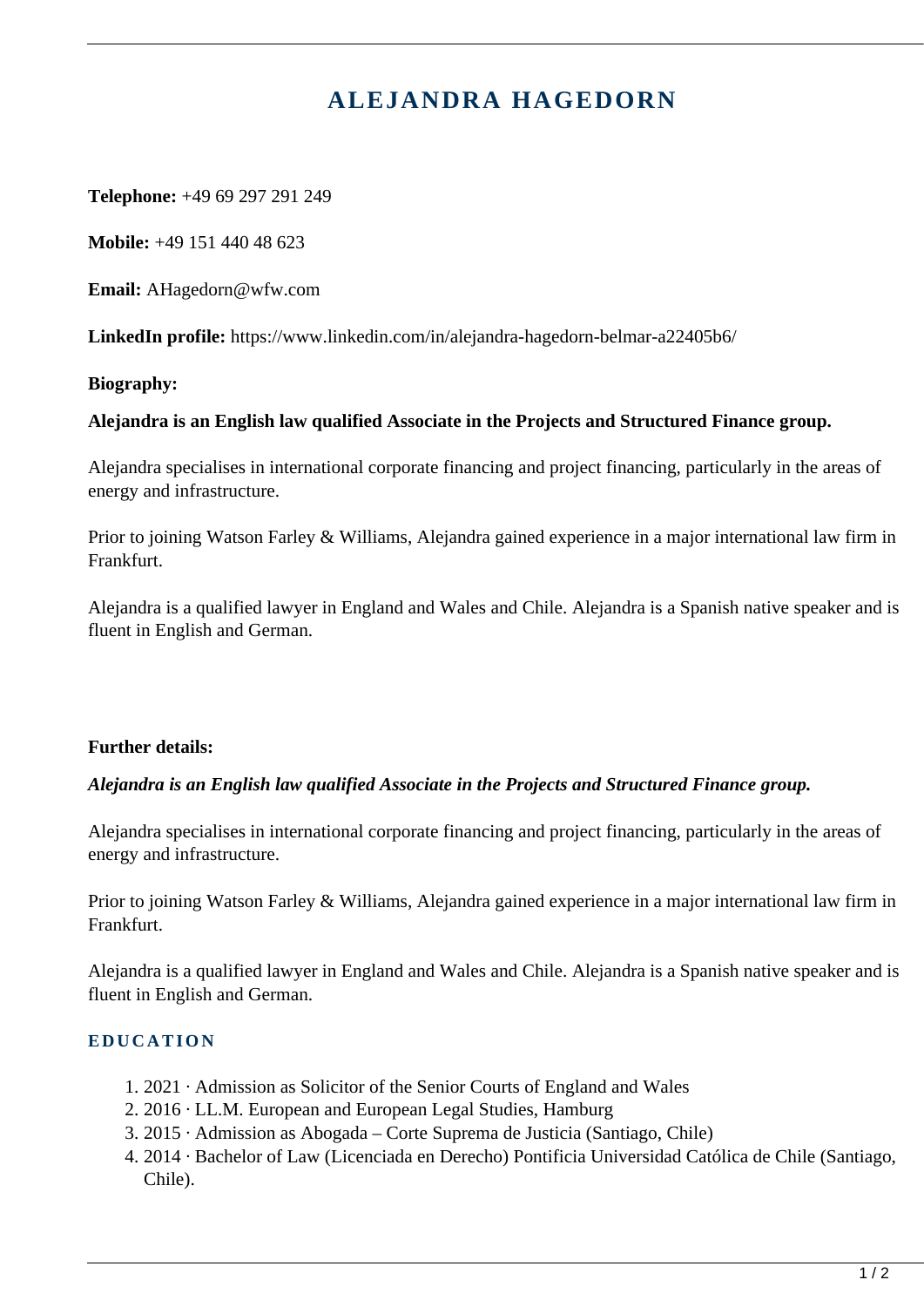# **ALEJANDRA HAGEDORN**

**Telephone:** +49 69 297 291 249

**Mobile:** +49 151 440 48 623

**Email:** AHagedorn@wfw.com

**LinkedIn profile:** https://www.linkedin.com/in/alejandra-hagedorn-belmar-a22405b6/

**Biography:** 

### **Alejandra is an English law qualified Associate in the Projects and Structured Finance group.**

Alejandra specialises in international corporate financing and project financing, particularly in the areas of energy and infrastructure.

Prior to joining Watson Farley & Williams, Alejandra gained experience in a major international law firm in Frankfurt.

Alejandra is a qualified lawyer in England and Wales and Chile. Alejandra is a Spanish native speaker and is fluent in English and German.

# **Further details:**

# *Alejandra is an English law qualified Associate in the Projects and Structured Finance group.*

Alejandra specialises in international corporate financing and project financing, particularly in the areas of energy and infrastructure.

Prior to joining Watson Farley & Williams, Alejandra gained experience in a major international law firm in Frankfurt.

Alejandra is a qualified lawyer in England and Wales and Chile. Alejandra is a Spanish native speaker and is fluent in English and German.

# **EDUCATION**

- 1. 2021 · Admission as Solicitor of the Senior Courts of England and Wales
- 2. 2016 · LL.M. European and European Legal Studies, Hamburg
- 3. 2015 · Admission as Abogada Corte Suprema de Justicia (Santiago, Chile)
- 4. 2014 · Bachelor of Law (Licenciada en Derecho) Pontificia Universidad Católica de Chile (Santiago, Chile).